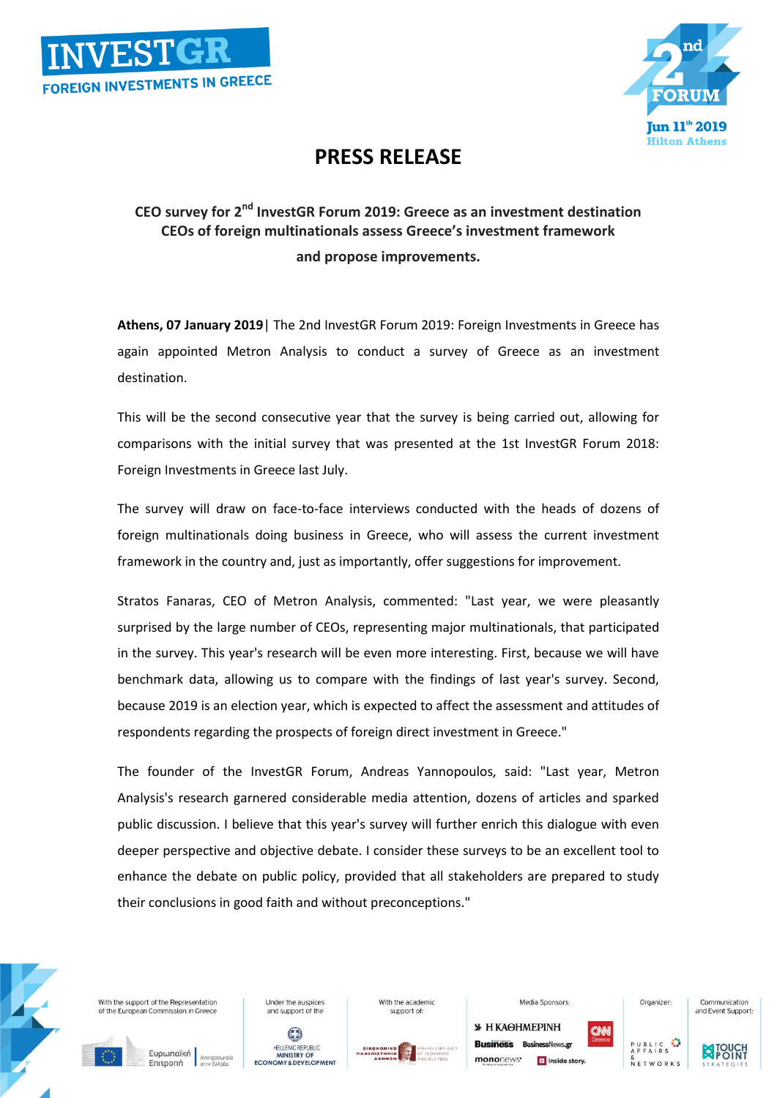



## **PRESS RELEASE**

## **CEO survey for 2nd InvestGR Forum 2019: Greece as an investment destination CEOs of foreign multinationals assess Greece's investment framework and propose improvements.**

**Athens, 07 January 2019**| The 2nd InvestGR Forum 2019: Foreign Investments in Greece has again appointed Metron Analysis to conduct a survey of Greece as an investment destination.

This will be the second consecutive year that the survey is being carried out, allowing for comparisons with the initial survey that was presented at the 1st InvestGR Forum 2018: Foreign Investments in Greece last July.

The survey will draw on face-to-face interviews conducted with the heads of dozens of foreign multinationals doing business in Greece, who will assess the current investment framework in the country and, just as importantly, offer suggestions for improvement.

Stratos Fanaras, CEO of Metron Analysis, commented: "Last year, we were pleasantly surprised by the large number of CEOs, representing major multinationals, that participated in the survey. This year's research will be even more interesting. First, because we will have benchmark data, allowing us to compare with the findings of last year's survey. Second, because 2019 is an election year, which is expected to affect the assessment and attitudes of respondents regarding the prospects of foreign direct investment in Greece."

The founder of the InvestGR Forum, Andreas Yannopoulos, said: "Last year, Metron Analysis's research garnered considerable media attention, dozens of articles and sparked public discussion. I believe that this year's survey will further enrich this dialogue with even deeper perspective and objective debate. I consider these surveys to be an excellent tool to enhance the debate on public policy, provided that all stakeholders are prepared to study their conclusions in good faith and without preconceptions."



With the support of the Representation of the European Commission in Gree

Ευρωπαϊκή

Επιτροπή

 $\odot$ HELLENIC REPUBLIC<br>
MINISTRY OF<br>
ECONOMY & DEVELOPMENT

**Linder the ausnices** 

and support of the

With the academic support of



*S* Н КАӨНМЕРІNН **Rusiness BusinessNews** on mononews<sup>.</sup> s inside story

Media Sponsors



Organizer



Communication

and Event Support